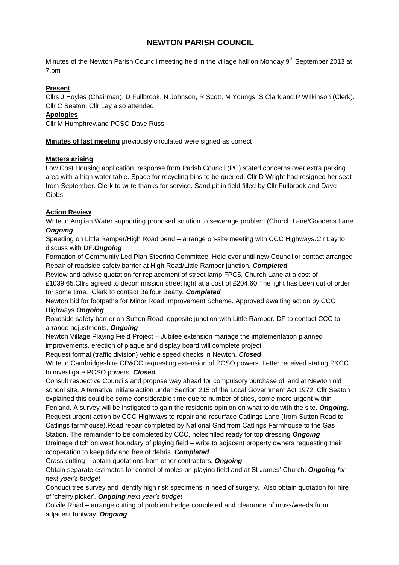# **NEWTON PARISH COUNCIL**

Minutes of the Newton Parish Council meeting held in the village hall on Monday 9<sup>th</sup> September 2013 at 7.pm

## **Present**

Cllrs J Hoyles (Chairman), D Fullbrook, N Johnson, R Scott, M Youngs, S Clark and P Wilkinson (Clerk). Cllr C Seaton, Cllr Lay also attended

## **Apologies**

Cllr M Humphrey.and PCSO Dave Russ

**Minutes of last meeting** previously circulated were signed as correct

#### **Matters arising**

Low Cost Housing application, response from Parish Council (PC) stated concerns over extra parking area with a high water table. Space for recycling bins to be queried. Cllr D Wright had resigned her seat from September. Clerk to write thanks for service. Sand pit in field filled by Cllr Fullbrook and Dave Gibbs.

## **Action Review**

Write to Anglian Water supporting proposed solution to sewerage problem (Church Lane/Goodens Lane *Ongoing.*

Speeding on Little Ramper/High Road bend – arrange on-site meeting with CCC Highways.Clr Lay to discuss with DF.*Ongoing*

Formation of Community Led Plan Steering Committee. Held over until new Councillor contact arranged Repair of roadside safety barrier at High Road/Little Ramper junction. *Completed*

Review and advise quotation for replacement of street lamp FPC5, Church Lane at a cost of £1039.65.Cllrs agreed to decommission street light at a cost of £204.60.The light has been out of order for some time. Clerk to contact Balfour Beatty*. Completed*

Newton bid for footpaths for Minor Road Improvement Scheme. Approved awaiting action by CCC Highways*.Ongoing*

Roadside safety barrier on Sutton Road, opposite junction with Little Ramper. DF to contact CCC to arrange adjustments*. Ongoing*

Newton Village Playing Field Project – Jubilee extension manage the implementation planned improvements. erection of plaque and display board will complete project

Request formal (traffic division) vehicle speed checks in Newton. *Closed*

Write to Cambridgeshire CP&CC requesting extension of PCSO powers. Letter received stating P&CC to investigate PCSO powers. *Closed*

Consult respective Councils and propose way ahead for compulsory purchase of land at Newton old school site. Alternative initiate action under Section 215 of the Local Government Act 1972. Cllr Seaton explained this could be some considerable time due to number of sites, some more urgent within Fenland. A survey will be instigated to gain the residents opinion on what to do with the site**.** *Ongoing***.** Request urgent action by CCC Highways to repair and resurface Catlings Lane (from Sutton Road to Catlings farmhouse).Road repair completed by National Grid from Catlings Farmhouse to the Gas

Station. The remainder to be completed by CCC, holes filled ready for top dressing *Ongoing* Drainage ditch on west boundary of playing field – write to adjacent property owners requesting their cooperation to keep tidy and free of debris. *Completed*

Grass cutting – obtain quotations from other contractors. *Ongoing*

Obtain separate estimates for control of moles on playing field and at St James' Church. *Ongoing for next year's budget*

Conduct tree survey and identify high risk specimens in need of surgery. Also obtain quotation for hire of 'cherry picker'*. Ongoing next year's budget*

Colvile Road – arrange cutting of problem hedge completed and clearance of moss/weeds from adjacent footway. *Ongoing*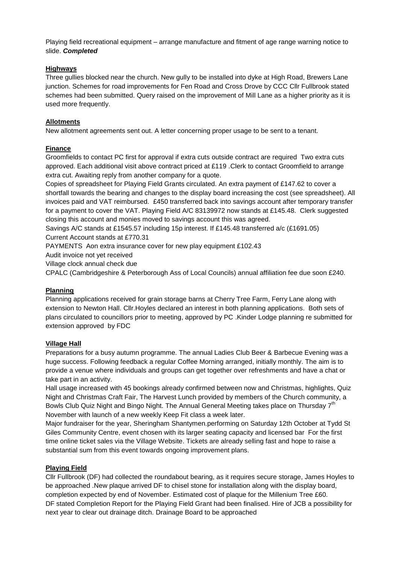Playing field recreational equipment – arrange manufacture and fitment of age range warning notice to slide. *Completed*

## **Highways**

Three gullies blocked near the church. New gully to be installed into dyke at High Road, Brewers Lane junction. Schemes for road improvements for Fen Road and Cross Drove by CCC Cllr Fullbrook stated schemes had been submitted. Query raised on the improvement of Mill Lane as a higher priority as it is used more frequently.

#### **Allotments**

New allotment agreements sent out. A letter concerning proper usage to be sent to a tenant.

#### **Finance**

Groomfields to contact PC first for approval if extra cuts outside contract are required Two extra cuts approved. Each additional visit above contract priced at £119 .Clerk to contact Groomfield to arrange extra cut. Awaiting reply from another company for a quote.

Copies of spreadsheet for Playing Field Grants circulated. An extra payment of £147.62 to cover a shortfall towards the bearing and changes to the display board increasing the cost (see spreadsheet). All invoices paid and VAT reimbursed. £450 transferred back into savings account after temporary transfer for a payment to cover the VAT. Playing Field A/C 83139972 now stands at £145.48. Clerk suggested closing this account and monies moved to savings account this was agreed.

Savings A/C stands at £1545.57 including 15p interest. If £145.48 transferred a/c (£1691.05) Current Account stands at £770.31

PAYMENTS Aon extra insurance cover for new play equipment £102.43

Audit invoice not yet received

Village clock annual check due

CPALC (Cambridgeshire & Peterborough Ass of Local Councils) annual affiliation fee due soon £240.

## **Planning**

Planning applications received for grain storage barns at Cherry Tree Farm, Ferry Lane along with extension to Newton Hall. Cllr.Hoyles declared an interest in both planning applications. Both sets of plans circulated to councillors prior to meeting, approved by PC .Kinder Lodge planning re submitted for extension approved by FDC

## **Village Hall**

Preparations for a busy autumn programme. The annual Ladies Club Beer & Barbecue Evening was a huge success. Following feedback a regular Coffee Morning arranged, initially monthly. The aim is to provide a venue where individuals and groups can get together over refreshments and have a chat or take part in an activity.

Hall usage increased with 45 bookings already confirmed between now and Christmas, highlights, Quiz Night and Christmas Craft Fair, The Harvest Lunch provided by members of the Church community, a Bowls Club Quiz Night and Bingo Night. The Annual General Meeting takes place on Thursday 7<sup>th</sup> November with launch of a new weekly Keep Fit class a week later.

Major fundraiser for the year, Sheringham Shantymen.performing on Saturday 12th October at Tydd St Giles Community Centre, event chosen with its larger seating capacity and licensed bar For the first time online ticket sales via the Village Website. Tickets are already selling fast and hope to raise a substantial sum from this event towards ongoing improvement plans.

## **Playing Field**

Cllr Fullbrook (DF) had collected the roundabout bearing, as it requires secure storage, James Hoyles to be approached .New plaque arrived DF to chisel stone for installation along with the display board, completion expected by end of November. Estimated cost of plaque for the Millenium Tree £60. DF stated Completion Report for the Playing Field Grant had been finalised. Hire of JCB a possibility for next year to clear out drainage ditch. Drainage Board to be approached